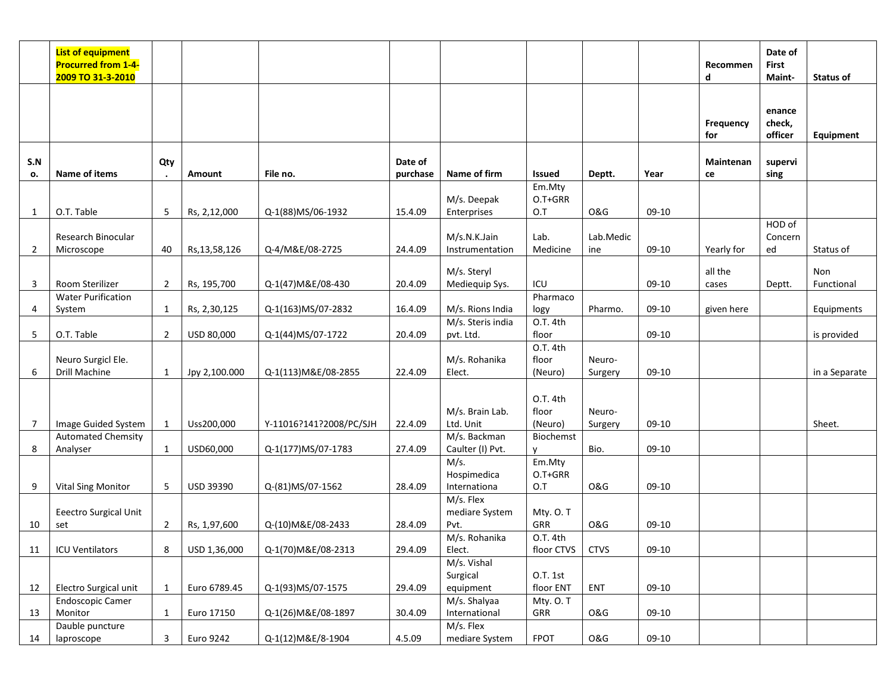|                | <b>List of equipment</b><br><b>Procurred from 1-4-</b><br>2009 TO 31-3-2010 |                |                 |                         |          |                       |                              |                |         | Recommen<br>d    | Date of<br><b>First</b><br>Maint- | <b>Status of</b> |
|----------------|-----------------------------------------------------------------------------|----------------|-----------------|-------------------------|----------|-----------------------|------------------------------|----------------|---------|------------------|-----------------------------------|------------------|
|                |                                                                             |                |                 |                         |          |                       |                              |                |         | Frequency<br>for | enance<br>check,<br>officer       | Equipment        |
| S.N            | Name of items                                                               | Qty            | Amount          | File no.                | Date of  | Name of firm          | <b>Issued</b>                |                |         | <b>Maintenan</b> | supervi                           |                  |
| о.             |                                                                             |                |                 |                         | purchase |                       | Em.Mty                       | Deptt.         | Year    | ce               | sing                              |                  |
|                |                                                                             |                |                 |                         |          | M/s. Deepak           | O.T+GRR                      |                |         |                  |                                   |                  |
| 1              | O.T. Table                                                                  | 5              | Rs, 2,12,000    | Q-1(88)MS/06-1932       | 15.4.09  | Enterprises           | O.T                          | <b>O&amp;G</b> | 09-10   |                  |                                   |                  |
|                |                                                                             |                |                 |                         |          |                       |                              |                |         |                  | HOD of                            |                  |
|                | Research Binocular                                                          |                |                 |                         |          | M/s.N.K.Jain          | Lab.                         | Lab.Medic      |         |                  | Concern                           |                  |
| $\overline{2}$ | Microscope                                                                  | 40             | Rs, 13, 58, 126 | Q-4/M&E/08-2725         | 24.4.09  | Instrumentation       | Medicine                     | ine            | $09-10$ | Yearly for       | ed                                | Status of        |
|                |                                                                             |                |                 |                         |          | M/s. Steryl           |                              |                |         | all the          |                                   | Non              |
| 3              | Room Sterilizer                                                             | $\overline{2}$ | Rs, 195,700     | Q-1(47) M&E/08-430      | 20.4.09  | Mediequip Sys.        | ICU                          |                | 09-10   | cases            | Deptt.                            | Functional       |
|                | <b>Water Purification</b>                                                   |                |                 |                         |          |                       | Pharmaco                     |                |         |                  |                                   |                  |
| 4              | System                                                                      | $\mathbf{1}$   | Rs, 2,30,125    | Q-1(163)MS/07-2832      | 16.4.09  | M/s. Rions India      | logy                         | Pharmo.        | 09-10   | given here       |                                   | Equipments       |
|                |                                                                             |                |                 |                         |          | M/s. Steris india     | 0.T. 4th                     |                |         |                  |                                   |                  |
| 5              | O.T. Table                                                                  | $\overline{2}$ | USD 80,000      | Q-1(44)MS/07-1722       | 20.4.09  | pvt. Ltd.             | floor                        |                | 09-10   |                  |                                   | is provided      |
|                |                                                                             |                |                 |                         |          |                       | 0.T. 4th                     |                |         |                  |                                   |                  |
|                | Neuro Surgicl Ele.                                                          |                |                 |                         |          | M/s. Rohanika         | floor                        | Neuro-         |         |                  |                                   |                  |
| 6              | Drill Machine                                                               | $\mathbf{1}$   | Jpy 2,100.000   | Q-1(113) M&E/08-2855    | 22.4.09  | Elect.                | (Neuro)                      | Surgery        | 09-10   |                  |                                   | in a Separate    |
|                |                                                                             |                |                 |                         |          |                       |                              |                |         |                  |                                   |                  |
|                |                                                                             |                |                 |                         |          | M/s. Brain Lab.       | O.T. 4th<br>floor            | Neuro-         |         |                  |                                   |                  |
| $\overline{7}$ | Image Guided System                                                         | 1              | Uss200,000      | Y-11016?141?2008/PC/SJH | 22.4.09  | Ltd. Unit             | (Neuro)                      | Surgery        | 09-10   |                  |                                   | Sheet.           |
|                | <b>Automated Chemsity</b>                                                   |                |                 |                         |          | M/s. Backman          | Biochemst                    |                |         |                  |                                   |                  |
| 8              | Analyser                                                                    | $\mathbf{1}$   | USD60,000       | Q-1(177)MS/07-1783      | 27.4.09  | Caulter (I) Pvt.      | y                            | Bio.           | 09-10   |                  |                                   |                  |
|                |                                                                             |                |                 |                         |          | M/s.                  | Em.Mty                       |                |         |                  |                                   |                  |
|                |                                                                             |                |                 |                         |          | Hospimedica           | O.T+GRR                      |                |         |                  |                                   |                  |
| 9              | <b>Vital Sing Monitor</b>                                                   | 5              | USD 39390       | Q-(81)MS/07-1562        | 28.4.09  | Internationa          | O.T                          | <b>O&amp;G</b> | $09-10$ |                  |                                   |                  |
|                |                                                                             |                |                 |                         |          | M/s. Flex             |                              |                |         |                  |                                   |                  |
|                | Eeectro Surgical Unit                                                       |                |                 |                         |          | mediare System        | Mty. O.T                     |                |         |                  |                                   |                  |
| 10             | set                                                                         | $\overline{2}$ | Rs, 1,97,600    | Q-(10) M&E/08-2433      | 28.4.09  | Pvt.                  | GRR                          | <b>O&amp;G</b> | 09-10   |                  |                                   |                  |
|                |                                                                             |                |                 |                         |          | M/s. Rohanika         | 0.T. 4th                     |                |         |                  |                                   |                  |
| 11             | <b>ICU Ventilators</b>                                                      | 8              | USD 1,36,000    | Q-1(70)M&E/08-2313      | 29.4.09  | Elect.                | floor CTVS                   | <b>CTVS</b>    | 09-10   |                  |                                   |                  |
|                |                                                                             |                |                 |                         |          | M/s. Vishal           |                              |                |         |                  |                                   |                  |
| 12             | Electro Surgical unit                                                       | 1              | Euro 6789.45    | Q-1(93)MS/07-1575       | 29.4.09  | Surgical<br>equipment | <b>O.T. 1st</b><br>floor ENT | ENT            | $09-10$ |                  |                                   |                  |
|                | <b>Endoscopic Camer</b>                                                     |                |                 |                         |          | M/s. Shalyaa          | Mty. O.T                     |                |         |                  |                                   |                  |
| 13             | Monitor                                                                     | 1              | Euro 17150      | Q-1(26) M&E/08-1897     | 30.4.09  | International         | GRR                          | <b>O&amp;G</b> | 09-10   |                  |                                   |                  |
|                | Dauble puncture                                                             |                |                 |                         |          | M/s. Flex             |                              |                |         |                  |                                   |                  |
| 14             | laproscope                                                                  | 3              | Euro 9242       | Q-1(12) M&E/8-1904      | 4.5.09   | mediare System        | <b>FPOT</b>                  | <b>O&amp;G</b> | $09-10$ |                  |                                   |                  |
|                |                                                                             |                |                 |                         |          |                       |                              |                |         |                  |                                   |                  |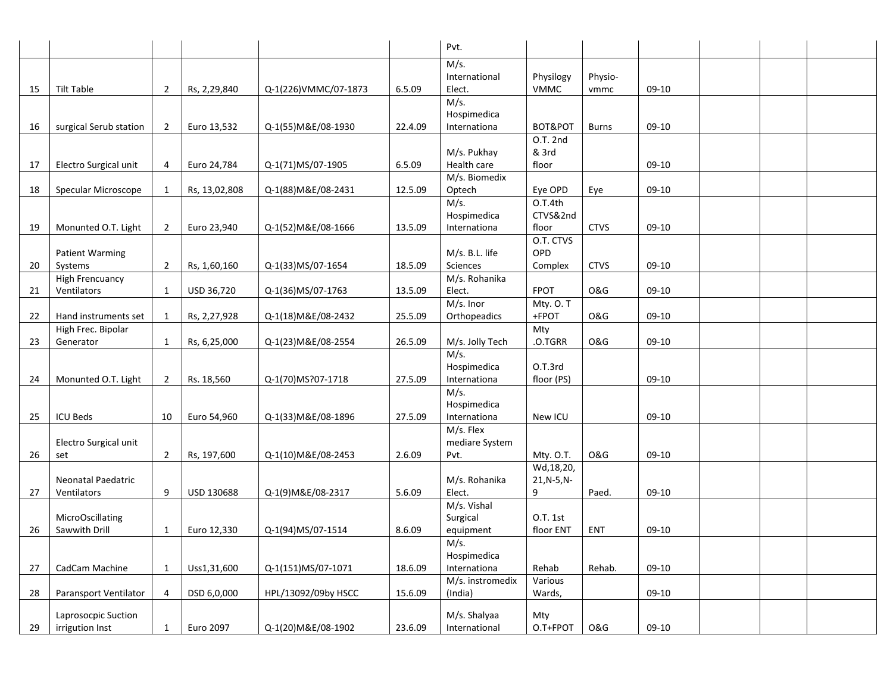|    |                                          |                |               |                      |         | Pvt.                             |                          |                 |         |  |  |
|----|------------------------------------------|----------------|---------------|----------------------|---------|----------------------------------|--------------------------|-----------------|---------|--|--|
|    |                                          |                |               |                      |         | M/s.                             |                          |                 |         |  |  |
| 15 | Tilt Table                               | $\overline{2}$ | Rs, 2,29,840  | Q-1(226)VMMC/07-1873 | 6.5.09  | International<br>Elect.          | Physilogy<br><b>VMMC</b> | Physio-<br>vmmc | 09-10   |  |  |
|    |                                          |                |               |                      |         | M/s.                             |                          |                 |         |  |  |
|    |                                          |                |               |                      |         | Hospimedica                      |                          |                 |         |  |  |
| 16 | surgical Serub station                   | $\overline{2}$ | Euro 13,532   | Q-1(55) M&E/08-1930  | 22.4.09 | Internationa                     | BOT&POT                  | <b>Burns</b>    | 09-10   |  |  |
|    |                                          |                |               |                      |         | M/s. Pukhay                      | O.T. 2nd<br>& 3rd        |                 |         |  |  |
| 17 | Electro Surgical unit                    | $\overline{4}$ | Euro 24,784   | Q-1(71)MS/07-1905    | 6.5.09  | Health care                      | floor                    |                 | 09-10   |  |  |
|    |                                          |                |               |                      |         | M/s. Biomedix                    |                          |                 |         |  |  |
| 18 | Specular Microscope                      | 1              | Rs, 13,02,808 | Q-1(88) M&E/08-2431  | 12.5.09 | Optech                           | Eye OPD                  | Eye             | 09-10   |  |  |
|    |                                          |                |               |                      |         | M/s.                             | O.T.4th                  |                 |         |  |  |
|    | Monunted O.T. Light                      | $\overline{2}$ | Euro 23,940   | Q-1(52) M&E/08-1666  | 13.5.09 | Hospimedica                      | CTVS&2nd<br>floor        | <b>CTVS</b>     | 09-10   |  |  |
| 19 |                                          |                |               |                      |         | Internationa                     | O.T. CTVS                |                 |         |  |  |
|    | <b>Patient Warming</b>                   |                |               |                      |         | M/s. B.L. life                   | OPD                      |                 |         |  |  |
| 20 | Systems                                  | $\overline{2}$ | Rs, 1,60,160  | Q-1(33)MS/07-1654    | 18.5.09 | Sciences                         | Complex                  | <b>CTVS</b>     | 09-10   |  |  |
|    | <b>High Frencuancy</b>                   |                |               |                      |         | M/s. Rohanika                    |                          |                 |         |  |  |
| 21 | Ventilators                              | 1              | USD 36,720    | Q-1(36)MS/07-1763    | 13.5.09 | Elect.                           | <b>FPOT</b>              | <b>O&amp;G</b>  | 09-10   |  |  |
|    | Hand instruments set                     |                |               | Q-1(18) M&E/08-2432  | 25.5.09 | M/s. Inor                        | Mty. O.T<br>+FPOT        | <b>O&amp;G</b>  | 09-10   |  |  |
| 22 | High Frec. Bipolar                       | 1              | Rs, 2,27,928  |                      |         | Orthopeadics                     | Mty                      |                 |         |  |  |
| 23 | Generator                                | 1              | Rs, 6,25,000  | Q-1(23) M&E/08-2554  | 26.5.09 | M/s. Jolly Tech                  | .O.TGRR                  | <b>O&amp;G</b>  | 09-10   |  |  |
|    |                                          |                |               |                      |         | M/s.                             |                          |                 |         |  |  |
|    |                                          |                |               |                      |         | Hospimedica                      | O.T.3rd                  |                 |         |  |  |
| 24 | Monunted O.T. Light                      | $\overline{2}$ | Rs. 18,560    | Q-1(70)MS?07-1718    | 27.5.09 | Internationa                     | floor (PS)               |                 | 09-10   |  |  |
|    |                                          |                |               |                      |         | M/s.<br>Hospimedica              |                          |                 |         |  |  |
| 25 | <b>ICU Beds</b>                          | 10             | Euro 54,960   | Q-1(33) M&E/08-1896  | 27.5.09 | Internationa                     | New ICU                  |                 | $09-10$ |  |  |
|    |                                          |                |               |                      |         | M/s. Flex                        |                          |                 |         |  |  |
|    | Electro Surgical unit                    |                |               |                      |         | mediare System                   |                          |                 |         |  |  |
| 26 | set                                      | $\overline{2}$ | Rs, 197,600   | Q-1(10)M&E/08-2453   | 2.6.09  | Pvt.                             | Mty. O.T.                | <b>O&amp;G</b>  | 09-10   |  |  |
|    |                                          |                |               |                      |         |                                  | Wd, 18, 20,              |                 |         |  |  |
| 27 | <b>Neonatal Paedatric</b><br>Ventilators | 9              | USD 130688    | Q-1(9) M&E/08-2317   | 5.6.09  | M/s. Rohanika<br>Elect.          | $21, N-5, N-$<br>9       | Paed.           | 09-10   |  |  |
|    |                                          |                |               |                      |         | M/s. Vishal                      |                          |                 |         |  |  |
|    | MicroOscillating                         |                |               |                      |         | Surgical                         | O.T. 1st                 |                 |         |  |  |
| 26 | Sawwith Drill                            | 1              | Euro 12,330   | Q-1(94)MS/07-1514    | 8.6.09  | equipment                        | floor ENT                | ENT             | 09-10   |  |  |
|    |                                          |                |               |                      |         | M/s.                             |                          |                 |         |  |  |
|    |                                          |                |               |                      |         | Hospimedica                      |                          |                 |         |  |  |
| 27 | CadCam Machine                           | 1              | Uss1,31,600   | Q-1(151)MS/07-1071   | 18.6.09 | Internationa<br>M/s. instromedix | Rehab<br>Various         | Rehab.          | 09-10   |  |  |
| 28 | Paransport Ventilator                    | $\overline{4}$ | DSD 6,0,000   | HPL/13092/09by HSCC  | 15.6.09 | (India)                          | Wards,                   |                 | $09-10$ |  |  |
|    |                                          |                |               |                      |         |                                  |                          |                 |         |  |  |
|    | Laprosocpic Suction                      |                |               |                      |         | M/s. Shalyaa                     | Mty                      |                 |         |  |  |
| 29 | irrigution Inst                          | 1              | Euro 2097     | Q-1(20)M&E/08-1902   | 23.6.09 | International                    | O.T+FPOT                 | <b>O&amp;G</b>  | 09-10   |  |  |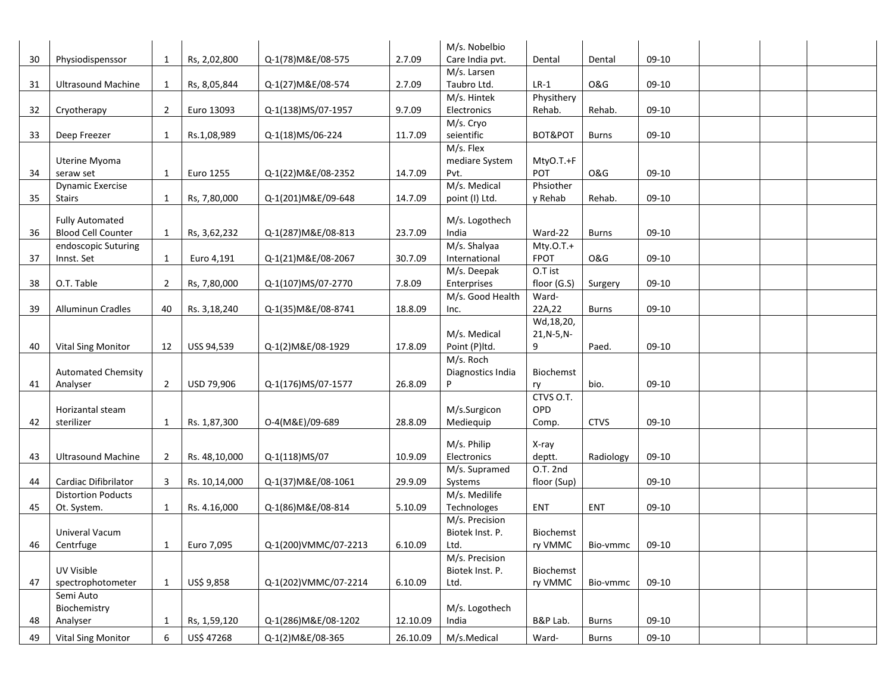|    |                           |                |               |                      |          | M/s. Nobelbio                     |                  |                |         |  |  |
|----|---------------------------|----------------|---------------|----------------------|----------|-----------------------------------|------------------|----------------|---------|--|--|
| 30 | Physiodispenssor          | 1              | Rs, 2,02,800  | Q-1(78) M&E/08-575   | 2.7.09   | Care India pvt.                   | Dental           | Dental         | 09-10   |  |  |
|    |                           |                |               |                      |          | M/s. Larsen                       |                  |                |         |  |  |
| 31 | <b>Ultrasound Machine</b> | 1              | Rs, 8,05,844  | Q-1(27) M&E/08-574   | 2.7.09   | Taubro Ltd.                       | $LR-1$           | <b>O&amp;G</b> | 09-10   |  |  |
|    |                           |                |               |                      |          | M/s. Hintek                       | Physithery       |                |         |  |  |
| 32 | Cryotherapy               | $\overline{2}$ | Euro 13093    | Q-1(138)MS/07-1957   | 9.7.09   | Electronics                       | Rehab.           | Rehab.         | 09-10   |  |  |
|    |                           |                |               |                      |          | M/s. Cryo                         |                  |                |         |  |  |
| 33 | Deep Freezer              | 1              | Rs.1,08,989   | Q-1(18)MS/06-224     | 11.7.09  | seientific                        | BOT&POT          | <b>Burns</b>   | 09-10   |  |  |
|    |                           |                |               |                      |          | M/s. Flex                         |                  |                |         |  |  |
|    | Uterine Myoma             |                |               |                      |          | mediare System                    | MtyO.T.+F        |                |         |  |  |
| 34 | seraw set                 | 1              | Euro 1255     | Q-1(22) M&E/08-2352  | 14.7.09  | Pvt.                              | <b>POT</b>       | <b>O&amp;G</b> | 09-10   |  |  |
|    | <b>Dynamic Exercise</b>   |                |               |                      |          | M/s. Medical                      | Phsiother        |                |         |  |  |
| 35 | <b>Stairs</b>             | 1              | Rs, 7,80,000  | Q-1(201) M&E/09-648  | 14.7.09  | point (I) Ltd.                    | y Rehab          | Rehab.         | 09-10   |  |  |
|    |                           |                |               |                      |          |                                   |                  |                |         |  |  |
|    | <b>Fully Automated</b>    |                |               |                      |          | M/s. Logothech                    |                  |                |         |  |  |
| 36 | <b>Blood Cell Counter</b> | 1              | Rs, 3,62,232  | Q-1(287) M&E/08-813  | 23.7.09  | India                             | Ward-22          | <b>Burns</b>   | 09-10   |  |  |
|    | endoscopic Suturing       |                |               |                      |          | M/s. Shalyaa                      | $Mty.0.T.+$      |                |         |  |  |
| 37 | Innst. Set                | 1              | Euro 4,191    | Q-1(21)M&E/08-2067   | 30.7.09  | International                     | <b>FPOT</b>      | <b>O&amp;G</b> | 09-10   |  |  |
|    |                           |                |               |                      |          | M/s. Deepak                       | O.T ist          |                |         |  |  |
| 38 | O.T. Table                | $\overline{2}$ | Rs, 7,80,000  | Q-1(107)MS/07-2770   | 7.8.09   | Enterprises                       | floor (G.S)      | Surgery        | 09-10   |  |  |
|    |                           |                |               |                      |          | M/s. Good Health                  | Ward-            |                |         |  |  |
| 39 | <b>Alluminun Cradles</b>  | 40             | Rs. 3,18,240  | Q-1(35) M&E/08-8741  | 18.8.09  | Inc.                              | 22A, 22          | <b>Burns</b>   | 09-10   |  |  |
|    |                           |                |               |                      |          |                                   | Wd, 18, 20,      |                |         |  |  |
|    |                           |                |               |                      |          | M/s. Medical                      | $21, N-5, N-$    |                |         |  |  |
| 40 | <b>Vital Sing Monitor</b> | 12             | USS 94,539    | Q-1(2)M&E/08-1929    | 17.8.09  | Point (P)ltd.                     | 9                | Paed.          | 09-10   |  |  |
|    |                           |                |               |                      |          | M/s. Roch                         |                  |                |         |  |  |
|    | <b>Automated Chemsity</b> |                |               |                      |          | Diagnostics India                 | <b>Biochemst</b> |                |         |  |  |
| 41 | Analyser                  | $\overline{2}$ | USD 79,906    | Q-1(176)MS/07-1577   | 26.8.09  | P                                 | ry               | bio.           | 09-10   |  |  |
|    |                           |                |               |                      |          |                                   | CTVS O.T.        |                |         |  |  |
|    | Horizantal steam          |                |               |                      |          | M/s.Surgicon                      | OPD              |                |         |  |  |
| 42 | sterilizer                | 1              | Rs. 1,87,300  | O-4(M&E)/09-689      | 28.8.09  | Mediequip                         | Comp.            | <b>CTVS</b>    | 09-10   |  |  |
|    |                           |                |               |                      |          | M/s. Philip                       |                  |                |         |  |  |
| 43 | <b>Ultrasound Machine</b> |                | Rs. 48,10,000 | Q-1(118)MS/07        | 10.9.09  | Electronics                       | X-ray<br>deptt.  | Radiology      | 09-10   |  |  |
|    |                           | $\overline{2}$ |               |                      |          |                                   | O.T. 2nd         |                |         |  |  |
|    | Cardiac Difibrilator      | 3              | Rs. 10,14,000 |                      |          | M/s. Supramed<br>Systems          |                  |                | 09-10   |  |  |
| 44 | <b>Distortion Poducts</b> |                |               | Q-1(37) M&E/08-1061  | 29.9.09  | M/s. Medilife                     | floor (Sup)      |                |         |  |  |
|    |                           |                |               |                      |          |                                   | <b>ENT</b>       | <b>ENT</b>     |         |  |  |
| 45 | Ot. System.               | 1              | Rs. 4.16,000  | Q-1(86) M&E/08-814   | 5.10.09  | Technologes                       |                  |                | 09-10   |  |  |
|    | Univeral Vacum            |                |               |                      |          | M/s. Precision<br>Biotek Inst. P. | Biochemst        |                |         |  |  |
|    | 46 Centrfuge              |                |               | Q-1(200)VMMC/07-2213 | 6.10.09  | Ltd.                              |                  | Bio-vmmc       | 09-10   |  |  |
|    |                           | $\overline{1}$ | Euro 7,095    |                      |          | M/s. Precision                    | ry VMMC          |                |         |  |  |
|    | UV Visible                |                |               |                      |          | Biotek Inst. P.                   | Biochemst        |                |         |  |  |
| 47 | spectrophotometer         | $\mathbf{1}$   | US\$ 9,858    | Q-1(202)VMMC/07-2214 | 6.10.09  | Ltd.                              | ry VMMC          | Bio-vmmc       | $09-10$ |  |  |
|    | Semi Auto                 |                |               |                      |          |                                   |                  |                |         |  |  |
|    | Biochemistry              |                |               |                      |          | M/s. Logothech                    |                  |                |         |  |  |
| 48 | Analyser                  | 1              | Rs, 1,59,120  | Q-1(286) M&E/08-1202 | 12.10.09 | India                             | B&P Lab.         | <b>Burns</b>   | 09-10   |  |  |
|    |                           |                |               |                      |          |                                   |                  |                |         |  |  |
| 49 | <b>Vital Sing Monitor</b> | 6              | US\$ 47268    | Q-1(2) M&E/08-365    | 26.10.09 | M/s.Medical                       | Ward-            | <b>Burns</b>   | 09-10   |  |  |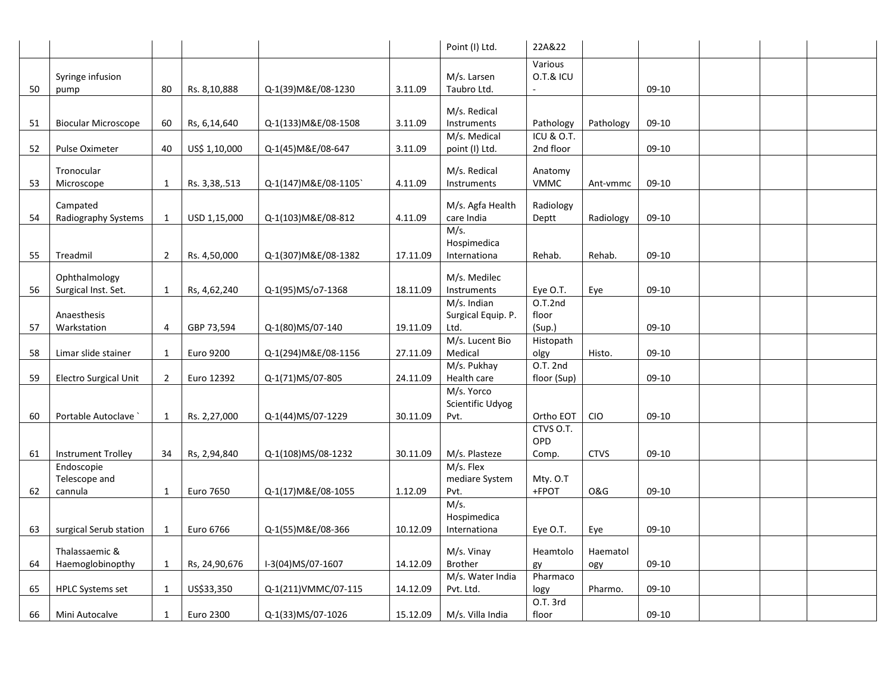|    |                            |                |               |                      |          | Point (I) Ltd.                | 22A&22                    |             |         |  |  |
|----|----------------------------|----------------|---------------|----------------------|----------|-------------------------------|---------------------------|-------------|---------|--|--|
|    |                            |                |               |                      |          |                               | Various                   |             |         |  |  |
| 50 | Syringe infusion<br>pump   | 80             | Rs. 8,10,888  | Q-1(39) M&E/08-1230  | 3.11.09  | M/s. Larsen<br>Taubro Ltd.    | O.T.& ICU                 |             | 09-10   |  |  |
|    |                            |                |               |                      |          | M/s. Redical                  |                           |             |         |  |  |
| 51 | <b>Biocular Microscope</b> | 60             | Rs, 6,14,640  | Q-1(133) M&E/08-1508 | 3.11.09  | Instruments                   | Pathology                 | Pathology   | 09-10   |  |  |
|    |                            |                |               |                      |          | M/s. Medical                  | <b>ICU &amp; O.T.</b>     |             |         |  |  |
| 52 | Pulse Oximeter             | 40             | US\$ 1,10,000 | Q-1(45) M&E/08-647   | 3.11.09  | point (I) Ltd.                | 2nd floor                 |             | $09-10$ |  |  |
|    | Tronocular                 |                |               |                      |          | M/s. Redical                  | Anatomy                   |             |         |  |  |
| 53 | Microscope                 | 1              | Rs. 3,38,.513 | Q-1(147) M&E/08-1105 | 4.11.09  | Instruments                   | <b>VMMC</b>               | Ant-vmmc    | 09-10   |  |  |
|    | Campated                   |                |               |                      |          | M/s. Agfa Health              | Radiology                 |             |         |  |  |
| 54 | Radiography Systems        | 1              | USD 1,15,000  | Q-1(103)M&E/08-812   | 4.11.09  | care India                    | Deptt                     | Radiology   | 09-10   |  |  |
|    |                            |                |               |                      |          | M/s.<br>Hospimedica           |                           |             |         |  |  |
| 55 | Treadmil                   | $\overline{2}$ | Rs. 4,50,000  | Q-1(307) M&E/08-1382 | 17.11.09 | Internationa                  | Rehab.                    | Rehab.      | 09-10   |  |  |
|    | Ophthalmology              |                |               |                      |          | M/s. Medilec                  |                           |             |         |  |  |
| 56 | Surgical Inst. Set.        | 1              | Rs, 4,62,240  | Q-1(95)MS/o7-1368    | 18.11.09 | Instruments                   | Eye O.T.                  | Eye         | 09-10   |  |  |
|    |                            |                |               |                      |          | M/s. Indian                   | O.T.2nd                   |             |         |  |  |
| 57 | Anaesthesis<br>Warkstation | 4              | GBP 73,594    | Q-1(80)MS/07-140     | 19.11.09 | Surgical Equip. P.<br>Ltd.    | floor<br>(Sup.)           |             | 09-10   |  |  |
|    |                            |                |               |                      |          | M/s. Lucent Bio               | Histopath                 |             |         |  |  |
| 58 | Limar slide stainer        | 1              | Euro 9200     | Q-1(294) M&E/08-1156 | 27.11.09 | Medical                       | olgy                      | Histo.      | $09-10$ |  |  |
| 59 | Electro Surgical Unit      | $\overline{2}$ | Euro 12392    | Q-1(71)MS/07-805     | 24.11.09 | M/s. Pukhay<br>Health care    | $O.T.$ 2nd<br>floor (Sup) |             | $09-10$ |  |  |
|    |                            |                |               |                      |          | M/s. Yorco                    |                           |             |         |  |  |
|    |                            |                |               |                      |          | Scientific Udyog              |                           |             |         |  |  |
| 60 | Portable Autoclave         | 1              | Rs. 2,27,000  | Q-1(44)MS/07-1229    | 30.11.09 | Pvt.                          | Ortho EOT                 | <b>CIO</b>  | 09-10   |  |  |
|    |                            |                |               |                      |          |                               | CTVS O.T.<br>OPD          |             |         |  |  |
| 61 | <b>Instrument Trolley</b>  | 34             | Rs, 2,94,840  | Q-1(108)MS/08-1232   | 30.11.09 | M/s. Plasteze                 | Comp.                     | <b>CTVS</b> | 09-10   |  |  |
|    | Endoscopie                 |                |               |                      |          | M/s. Flex                     |                           |             |         |  |  |
| 62 | Telescope and<br>cannula   | 1              | Euro 7650     | Q-1(17) M&E/08-1055  | 1.12.09  | mediare System<br>Pvt.        | Mty. O.T<br>+FPOT         | O&G         | 09-10   |  |  |
|    |                            |                |               |                      |          | M/s.                          |                           |             |         |  |  |
|    |                            |                |               |                      |          | Hospimedica                   |                           |             |         |  |  |
| 63 | surgical Serub station     | $\mathbf{1}$   | Euro 6766     | Q-1(55) M&E/08-366   | 10.12.09 | Internationa                  | Eye O.T.                  | Eye         | 09-10   |  |  |
|    | Thalassaemic &             |                |               |                      |          | M/s. Vinay                    | Heamtolo                  | Haematol    |         |  |  |
| 64 | Haemoglobinopthy           | 1              | Rs, 24,90,676 | I-3(04)MS/07-1607    | 14.12.09 | <b>Brother</b>                | gy                        | ogy         | 09-10   |  |  |
| 65 | <b>HPLC Systems set</b>    | 1              | US\$33,350    | Q-1(211)VMMC/07-115  | 14.12.09 | M/s. Water India<br>Pvt. Ltd. | Pharmaco<br>logy          | Pharmo.     | 09-10   |  |  |
|    |                            |                |               |                      |          |                               | O.T. 3rd                  |             |         |  |  |
| 66 | Mini Autocalve             | 1              | Euro 2300     | Q-1(33)MS/07-1026    | 15.12.09 | M/s. Villa India              | floor                     |             | $09-10$ |  |  |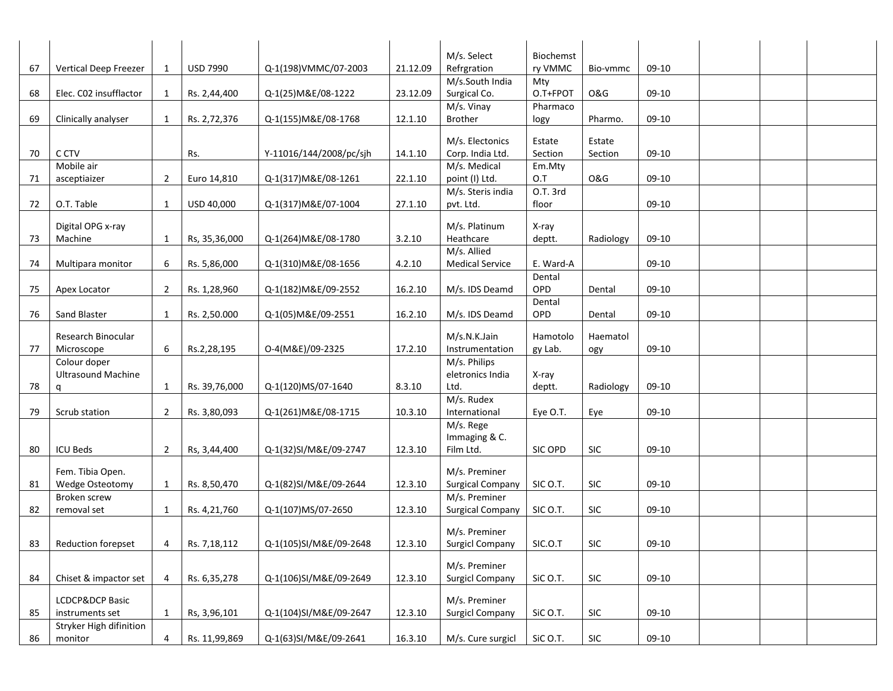|    |                                           |              |                 |                         |          | M/s. Select                      | Biochemst |                             |         |  |  |
|----|-------------------------------------------|--------------|-----------------|-------------------------|----------|----------------------------------|-----------|-----------------------------|---------|--|--|
| 67 | Vertical Deep Freezer                     | 1            | <b>USD 7990</b> | Q-1(198)VMMC/07-2003    | 21.12.09 | Refrgration                      | ry VMMC   | Bio-vmmc                    | 09-10   |  |  |
|    |                                           |              |                 |                         |          | M/s.South India                  | Mty       |                             |         |  |  |
| 68 | Elec. C02 insufflactor                    | 1            | Rs. 2,44,400    | Q-1(25) M&E/08-1222     | 23.12.09 | Surgical Co.                     | O.T+FPOT  | <b>O&amp;G</b>              | $09-10$ |  |  |
|    |                                           |              |                 |                         |          | M/s. Vinay                       | Pharmaco  |                             |         |  |  |
| 69 | Clinically analyser                       | 1            | Rs. 2,72,376    | Q-1(155) M&E/08-1768    | 12.1.10  | <b>Brother</b>                   | logy      | Pharmo.                     | 09-10   |  |  |
|    |                                           |              |                 |                         |          |                                  |           |                             |         |  |  |
|    |                                           |              |                 |                         |          | M/s. Electonics                  | Estate    | Estate                      |         |  |  |
| 70 | C CTV                                     |              | Rs.             | Y-11016/144/2008/pc/sjh | 14.1.10  | Corp. India Ltd.                 | Section   | Section                     | 09-10   |  |  |
|    | Mobile air                                |              |                 |                         |          | M/s. Medical                     | Em.Mty    |                             |         |  |  |
| 71 | asceptiaizer                              | 2            | Euro 14,810     | Q-1(317) M&E/08-1261    | 22.1.10  | point (I) Ltd.                   | O.T       | <b>O&amp;G</b>              | 09-10   |  |  |
|    |                                           |              |                 |                         |          | M/s. Steris india                | O.T. 3rd  |                             |         |  |  |
| 72 | O.T. Table                                | 1            | USD 40,000      | Q-1(317) M&E/07-1004    | 27.1.10  | pvt. Ltd.                        | floor     |                             | 09-10   |  |  |
|    | Digital OPG x-ray                         |              |                 |                         |          | M/s. Platinum                    | X-ray     |                             |         |  |  |
| 73 | Machine                                   | 1            | Rs, 35,36,000   | Q-1(264) M&E/08-1780    | 3.2.10   | Heathcare                        | deptt.    | Radiology                   | 09-10   |  |  |
|    |                                           |              |                 |                         |          | M/s. Allied                      |           |                             |         |  |  |
| 74 | Multipara monitor                         | 6            | Rs. 5,86,000    | Q-1(310) M&E/08-1656    | 4.2.10   | <b>Medical Service</b>           | E. Ward-A |                             | 09-10   |  |  |
|    |                                           |              |                 |                         |          |                                  | Dental    |                             |         |  |  |
| 75 | Apex Locator                              | 2            | Rs. 1,28,960    | Q-1(182) M&E/09-2552    | 16.2.10  | M/s. IDS Deamd                   | OPD       | Dental                      | 09-10   |  |  |
|    |                                           |              |                 |                         |          |                                  | Dental    |                             |         |  |  |
| 76 | Sand Blaster                              | 1            | Rs. 2,50.000    | Q-1(05) M&E/09-2551     | 16.2.10  | M/s. IDS Deamd                   | OPD       | Dental                      | 09-10   |  |  |
|    |                                           |              |                 |                         |          |                                  |           |                             |         |  |  |
|    | Research Binocular                        |              |                 |                         |          | M/s.N.K.Jain                     | Hamotolo  | Haematol                    |         |  |  |
| 77 | Microscope                                | 6            | Rs.2,28,195     | O-4(M&E)/09-2325        | 17.2.10  | Instrumentation                  | gy Lab.   | ogy                         | 09-10   |  |  |
|    | Colour doper<br><b>Ultrasound Machine</b> |              |                 |                         |          | M/s. Philips<br>eletronics India | X-ray     |                             |         |  |  |
| 78 | q                                         | 1            | Rs. 39,76,000   | Q-1(120)MS/07-1640      | 8.3.10   | Ltd.                             | deptt.    | Radiology                   | 09-10   |  |  |
|    |                                           |              |                 |                         |          | M/s. Rudex                       |           |                             |         |  |  |
| 79 | Scrub station                             | 2            | Rs. 3,80,093    | Q-1(261) M&E/08-1715    | 10.3.10  | International                    | Eye O.T.  | Eye                         | 09-10   |  |  |
|    |                                           |              |                 |                         |          | M/s. Rege                        |           |                             |         |  |  |
|    |                                           |              |                 |                         |          | Immaging & C.                    |           |                             |         |  |  |
| 80 | <b>ICU Beds</b>                           | 2            | Rs, 3,44,400    | Q-1(32)SI/M&E/09-2747   | 12.3.10  | Film Ltd.                        | SIC OPD   | SIC                         | $09-10$ |  |  |
|    |                                           |              |                 |                         |          |                                  |           |                             |         |  |  |
|    | Fem. Tibia Open.                          |              |                 |                         |          | M/s. Preminer                    |           |                             |         |  |  |
| 81 | Wedge Osteotomy                           | 1            | Rs. 8,50,470    | Q-1(82)SI/M&E/09-2644   | 12.3.10  | <b>Surgical Company</b>          | SIC O.T.  | SIC                         | $09-10$ |  |  |
|    | Broken screw                              |              |                 |                         |          | M/s. Preminer                    |           |                             |         |  |  |
| 82 | removal set                               | 1            | Rs. 4,21,760    | Q-1(107)MS/07-2650      | 12.3.10  | <b>Surgical Company</b>          | SIC O.T.  | SIC                         | 09-10   |  |  |
|    |                                           |              |                 |                         |          | M/s. Preminer                    |           |                             |         |  |  |
| 83 | Reduction forepset                        |              | 4 Rs. 7,18,112  | Q-1(105)SI/M&E/09-2648  | 12.3.10  | <b>Surgicl Company</b>           | SIC.O.T   | <b>SIC</b>                  | $09-10$ |  |  |
|    |                                           |              |                 |                         |          |                                  |           |                             |         |  |  |
|    |                                           |              |                 |                         |          | M/s. Preminer                    |           |                             |         |  |  |
| 84 | Chiset & impactor set                     | 4            | Rs. 6,35,278    | Q-1(106)SI/M&E/09-2649  | 12.3.10  | <b>Surgicl Company</b>           | SiC O.T.  | SIC                         | $09-10$ |  |  |
|    | LCDCP&DCP Basic                           |              |                 |                         |          | M/s. Preminer                    |           |                             |         |  |  |
| 85 | instruments set                           | $\mathbf{1}$ | Rs, 3,96,101    | Q-1(104)SI/M&E/09-2647  | 12.3.10  | <b>Surgicl Company</b>           | SiC O.T.  | SIC                         | $09-10$ |  |  |
|    | Stryker High difinition                   |              |                 |                         |          |                                  |           |                             |         |  |  |
| 86 | monitor                                   | 4            | Rs. 11,99,869   | Q-1(63)SI/M&E/09-2641   | 16.3.10  | M/s. Cure surgicl                | SiC O.T.  | $\ensuremath{\mathsf{SIC}}$ | $09-10$ |  |  |
|    |                                           |              |                 |                         |          |                                  |           |                             |         |  |  |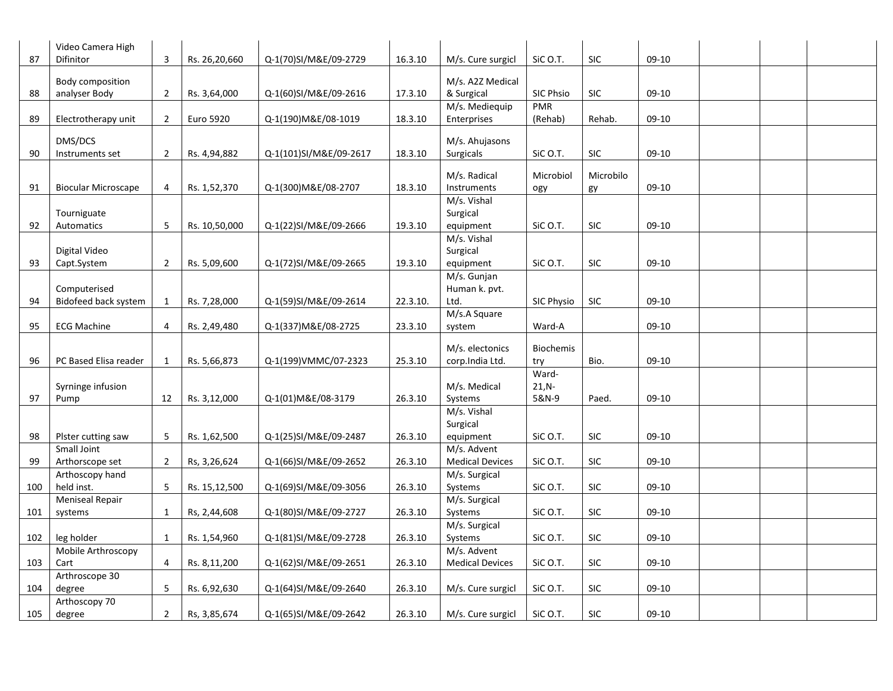|     | Video Camera High          |                |               |                        |          |                                    |                    |            |         |  |  |
|-----|----------------------------|----------------|---------------|------------------------|----------|------------------------------------|--------------------|------------|---------|--|--|
| 87  | Difinitor                  | 3              | Rs. 26,20,660 | Q-1(70)SI/M&E/09-2729  | 16.3.10  | M/s. Cure surgicl                  | SiC O.T.           | SIC        | $09-10$ |  |  |
|     | Body composition           |                |               |                        |          | M/s. A2Z Medical                   |                    |            |         |  |  |
| 88  | analyser Body              | $\overline{2}$ | Rs. 3,64,000  | Q-1(60)SI/M&E/09-2616  | 17.3.10  | & Surgical                         | <b>SIC Phsio</b>   | SIC        | 09-10   |  |  |
|     |                            |                |               |                        |          | M/s. Mediequip                     | <b>PMR</b>         |            |         |  |  |
| 89  | Electrotherapy unit        | $\overline{2}$ | Euro 5920     | Q-1(190) M&E/08-1019   | 18.3.10  | Enterprises                        | (Rehab)            | Rehab.     | 09-10   |  |  |
|     |                            |                |               |                        |          |                                    |                    |            |         |  |  |
| 90  | DMS/DCS<br>Instruments set | 2              | Rs. 4,94,882  | Q-1(101)SI/M&E/09-2617 | 18.3.10  | M/s. Ahujasons<br><b>Surgicals</b> | SiC O.T.           | SIC        | 09-10   |  |  |
|     |                            |                |               |                        |          |                                    |                    |            |         |  |  |
|     |                            |                |               |                        |          | M/s. Radical                       | Microbiol          | Microbilo  |         |  |  |
| 91  | <b>Biocular Microscape</b> | 4              | Rs. 1,52,370  | Q-1(300) M&E/08-2707   | 18.3.10  | Instruments                        | ogy                | gy         | 09-10   |  |  |
|     |                            |                |               |                        |          | M/s. Vishal                        |                    |            |         |  |  |
|     | Tourniguate                |                |               |                        |          | Surgical                           |                    |            |         |  |  |
| 92  | Automatics                 | 5              | Rs. 10,50,000 | Q-1(22)SI/M&E/09-2666  | 19.3.10  | equipment                          | SiC O.T.           | SIC        | 09-10   |  |  |
|     |                            |                |               |                        |          | M/s. Vishal                        |                    |            |         |  |  |
|     | Digital Video              |                |               |                        |          | Surgical                           |                    |            |         |  |  |
| 93  | Capt.System                | 2              | Rs. 5,09,600  | Q-1(72)SI/M&E/09-2665  | 19.3.10  | equipment                          | SiC O.T.           | <b>SIC</b> | $09-10$ |  |  |
|     | Computerised               |                |               |                        |          | M/s. Gunjan<br>Human k. pvt.       |                    |            |         |  |  |
| 94  | Bidofeed back system       | 1              | Rs. 7,28,000  | Q-1(59)SI/M&E/09-2614  | 22.3.10. | Ltd.                               | SIC Physio         | <b>SIC</b> | 09-10   |  |  |
|     |                            |                |               |                        |          | M/s.A Square                       |                    |            |         |  |  |
| 95  | <b>ECG Machine</b>         | 4              | Rs. 2,49,480  | Q-1(337) M&E/08-2725   | 23.3.10  | system                             | Ward-A             |            | 09-10   |  |  |
|     |                            |                |               |                        |          |                                    |                    |            |         |  |  |
|     |                            |                |               |                        |          | M/s. electonics                    | <b>Biochemis</b>   |            |         |  |  |
| 96  | PC Based Elisa reader      | 1              | Rs. 5,66,873  | Q-1(199)VMMC/07-2323   | 25.3.10  | corp.India Ltd.                    | try                | Bio.       | $09-10$ |  |  |
|     |                            |                |               |                        |          | M/s. Medical                       | Ward-<br>$21, N -$ |            |         |  |  |
| 97  | Syrninge infusion<br>Pump  | 12             | Rs. 3,12,000  | Q-1(01)M&E/08-3179     | 26.3.10  | Systems                            | 5&N-9              | Paed.      | 09-10   |  |  |
|     |                            |                |               |                        |          | M/s. Vishal                        |                    |            |         |  |  |
|     |                            |                |               |                        |          | Surgical                           |                    |            |         |  |  |
| 98  | Plster cutting saw         | 5              | Rs. 1,62,500  | Q-1(25)SI/M&E/09-2487  | 26.3.10  | equipment                          | SiC O.T.           | SIC        | $09-10$ |  |  |
|     | Small Joint                |                |               |                        |          | M/s. Advent                        |                    |            |         |  |  |
| 99  | Arthorscope set            | $\overline{2}$ | Rs, 3,26,624  | Q-1(66)SI/M&E/09-2652  | 26.3.10  | <b>Medical Devices</b>             | SiC O.T.           | <b>SIC</b> | 09-10   |  |  |
|     | Arthoscopy hand            |                |               |                        |          | M/s. Surgical                      |                    |            |         |  |  |
| 100 | held inst.                 | 5              | Rs. 15,12,500 | Q-1(69)SI/M&E/09-3056  | 26.3.10  | Systems                            | SiC O.T.           | SIC        | $09-10$ |  |  |
|     | <b>Meniseal Repair</b>     |                |               |                        |          | M/s. Surgical                      |                    |            |         |  |  |
| 101 | systems                    | $\mathbf{1}$   | Rs, 2,44,608  | Q-1(80)SI/M&E/09-2727  | 26.3.10  | Systems                            | SiC O.T.           | <b>SIC</b> | $09-10$ |  |  |
|     |                            |                |               |                        |          | M/s. Surgical                      |                    |            |         |  |  |
| 102 | leg holder                 | 1              | Rs. 1,54,960  | Q-1(81)SI/M&E/09-2728  | 26.3.10  | Systems                            | SiC O.T.           | SIC        | 09-10   |  |  |
|     | Mobile Arthroscopy         |                |               |                        |          | M/s. Advent                        |                    |            |         |  |  |
| 103 | Cart<br>Arthroscope 30     | 4              | Rs. 8,11,200  | Q-1(62)SI/M&E/09-2651  | 26.3.10  | <b>Medical Devices</b>             | SiC O.T.           | <b>SIC</b> | 09-10   |  |  |
| 104 | degree                     | 5              | Rs. 6,92,630  | Q-1(64)SI/M&E/09-2640  | 26.3.10  | M/s. Cure surgicl                  | SiC O.T.           | SIC        | 09-10   |  |  |
|     | Arthoscopy 70              |                |               |                        |          |                                    |                    |            |         |  |  |
| 105 | degree                     | $\overline{2}$ | Rs, 3,85,674  | Q-1(65)SI/M&E/09-2642  | 26.3.10  | M/s. Cure surgicl                  | SiC O.T.           | <b>SIC</b> | $09-10$ |  |  |
|     |                            |                |               |                        |          |                                    |                    |            |         |  |  |